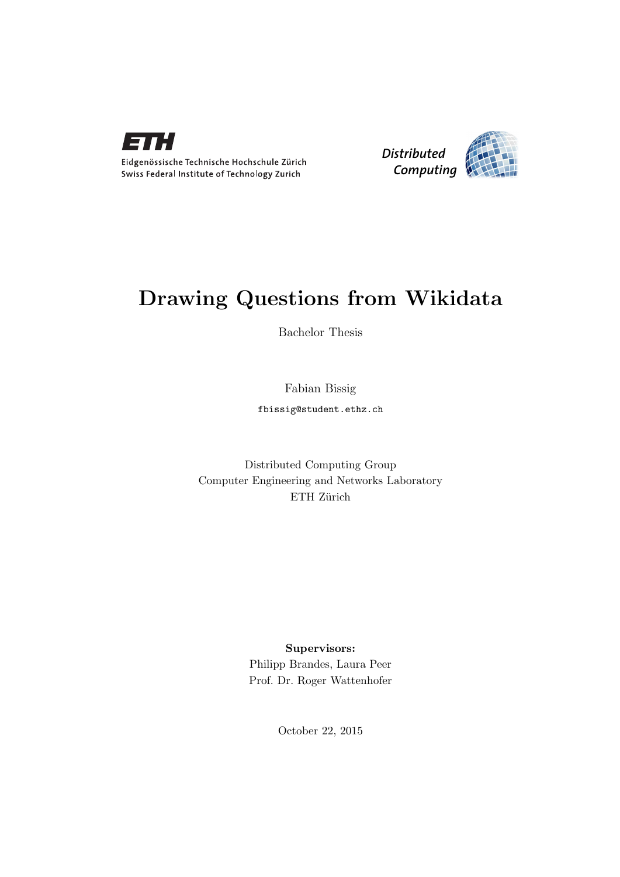



# Drawing Questions from Wikidata

Bachelor Thesis

Fabian Bissig

fbissig@student.ethz.ch

# Distributed Computing Group Computer Engineering and Networks Laboratory ETH Zürich

### Supervisors:

Philipp Brandes, Laura Peer Prof. Dr. Roger Wattenhofer

October 22, 2015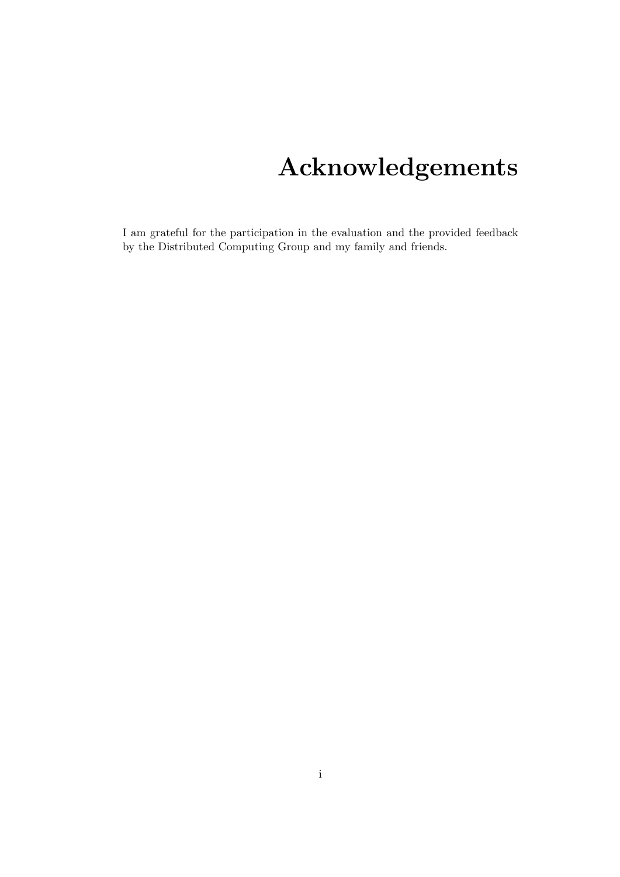# Acknowledgements

<span id="page-1-0"></span>I am grateful for the participation in the evaluation and the provided feedback by the Distributed Computing Group and my family and friends.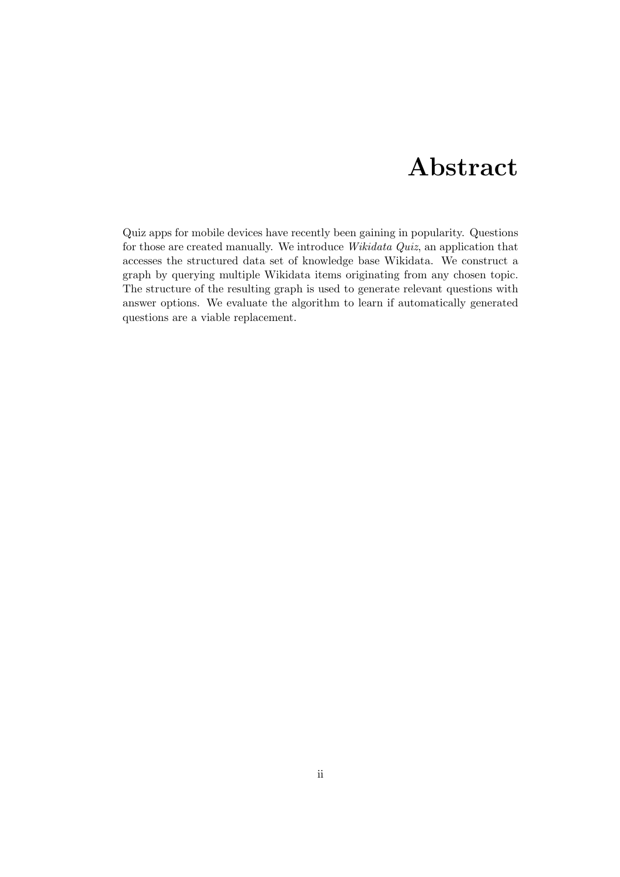# Abstract

<span id="page-2-0"></span>Quiz apps for mobile devices have recently been gaining in popularity. Questions for those are created manually. We introduce Wikidata Quiz, an application that accesses the structured data set of knowledge base Wikidata. We construct a graph by querying multiple Wikidata items originating from any chosen topic. The structure of the resulting graph is used to generate relevant questions with answer options. We evaluate the algorithm to learn if automatically generated questions are a viable replacement.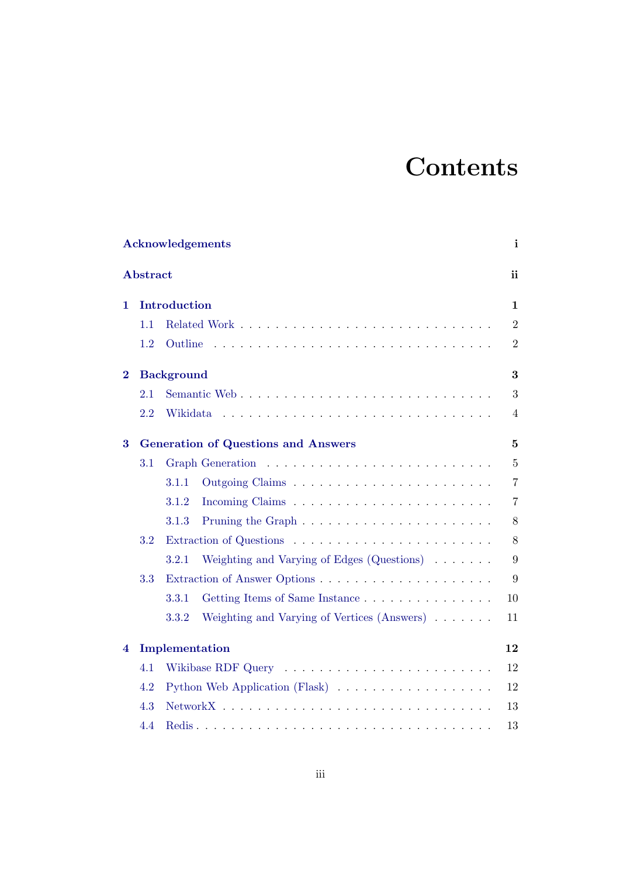# **Contents**

|          | <b>Acknowledgements</b> |                   |                                                                            |                |  |  |
|----------|-------------------------|-------------------|----------------------------------------------------------------------------|----------------|--|--|
|          | Abstract                |                   |                                                                            | ii             |  |  |
| 1.       |                         | Introduction      |                                                                            | $\mathbf{1}$   |  |  |
|          | 1.1                     |                   |                                                                            | $\overline{2}$ |  |  |
|          | 1.2                     | Outline           |                                                                            | $\overline{2}$ |  |  |
| $\bf{2}$ |                         | <b>Background</b> |                                                                            | 3              |  |  |
|          | 2.1                     |                   |                                                                            | 3              |  |  |
|          | 2.2                     | Wikidata          |                                                                            | $\overline{4}$ |  |  |
| 3        |                         |                   | <b>Generation of Questions and Answers</b>                                 | $\overline{5}$ |  |  |
|          | 3.1                     |                   |                                                                            | $\overline{5}$ |  |  |
|          |                         | 3.1.1             |                                                                            | $\overline{7}$ |  |  |
|          |                         | 3.1.2             |                                                                            | $\overline{7}$ |  |  |
|          |                         | 3.1.3             | Pruning the Graph $\dots \dots \dots \dots \dots \dots \dots \dots \dots$  | $8\,$          |  |  |
|          | 3.2                     |                   |                                                                            | 8              |  |  |
|          |                         | 3.2.1             | Weighting and Varying of Edges $(Q$ uestions $) \dots \dots$               | 9              |  |  |
|          | 3.3                     |                   |                                                                            | 9              |  |  |
|          |                         | 3.3.1             | Getting Items of Same Instance                                             | 10             |  |  |
|          |                         | 3.3.2             | Weighting and Varying of Vertices (Answers)                                | 11             |  |  |
| 4        |                         | Implementation    |                                                                            | 12             |  |  |
|          | 4.1                     |                   |                                                                            | 12             |  |  |
|          | 4.2                     |                   | Python Web Application (Flask) $\ldots \ldots \ldots \ldots \ldots \ldots$ | 12             |  |  |
|          | 4.3                     |                   |                                                                            | 13             |  |  |
|          | 4.4                     |                   |                                                                            | 13             |  |  |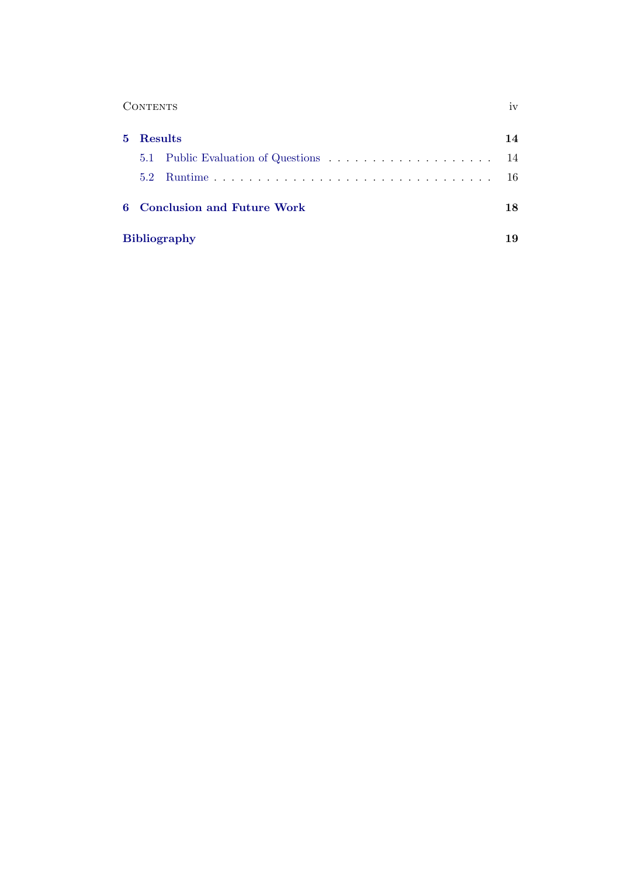|    | <b>CONTENTS</b>                   |    |  |  |  |  |
|----|-----------------------------------|----|--|--|--|--|
| 5. | <b>Results</b>                    | 14 |  |  |  |  |
|    |                                   | 14 |  |  |  |  |
|    | 5.2                               | 16 |  |  |  |  |
| 6  | <b>Conclusion and Future Work</b> |    |  |  |  |  |
|    | <b>Bibliography</b><br>19         |    |  |  |  |  |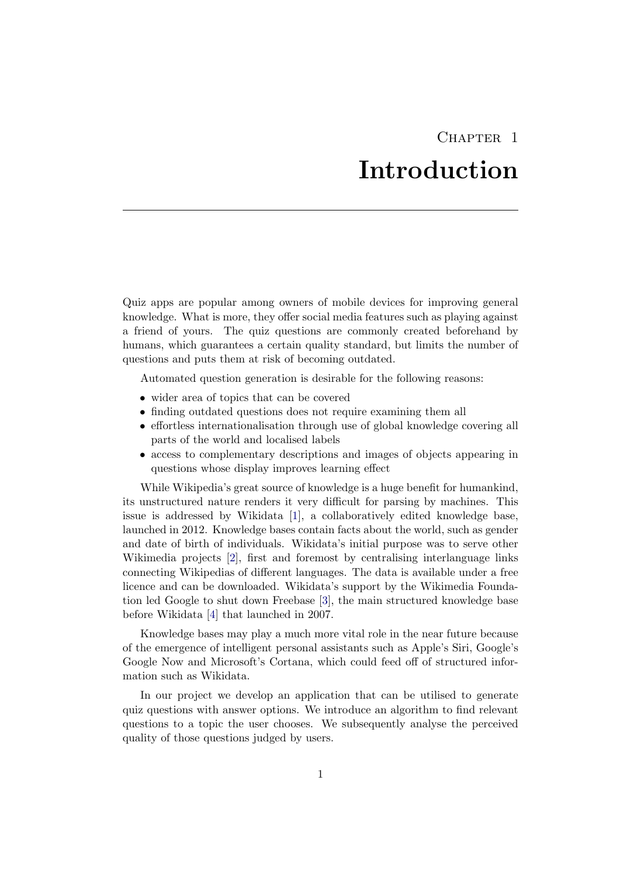# CHAPTER<sub>1</sub> Introduction

<span id="page-5-0"></span>Quiz apps are popular among owners of mobile devices for improving general knowledge. What is more, they offer social media features such as playing against a friend of yours. The quiz questions are commonly created beforehand by humans, which guarantees a certain quality standard, but limits the number of questions and puts them at risk of becoming outdated.

Automated question generation is desirable for the following reasons:

- wider area of topics that can be covered
- finding outdated questions does not require examining them all
- effortless internationalisation through use of global knowledge covering all parts of the world and localised labels
- access to complementary descriptions and images of objects appearing in questions whose display improves learning effect

While Wikipedia's great source of knowledge is a huge benefit for humankind, its unstructured nature renders it very difficult for parsing by machines. This issue is addressed by Wikidata [\[1\]](#page-23-1), a collaboratively edited knowledge base, launched in 2012. Knowledge bases contain facts about the world, such as gender and date of birth of individuals. Wikidata's initial purpose was to serve other Wikimedia projects [\[2\]](#page-23-2), first and foremost by centralising interlanguage links connecting Wikipedias of different languages. The data is available under a free licence and can be downloaded. Wikidata's support by the Wikimedia Foundation led Google to shut down Freebase [\[3\]](#page-23-3), the main structured knowledge base before Wikidata [\[4\]](#page-23-4) that launched in 2007.

Knowledge bases may play a much more vital role in the near future because of the emergence of intelligent personal assistants such as Apple's Siri, Google's Google Now and Microsoft's Cortana, which could feed off of structured information such as Wikidata.

In our project we develop an application that can be utilised to generate quiz questions with answer options. We introduce an algorithm to find relevant questions to a topic the user chooses. We subsequently analyse the perceived quality of those questions judged by users.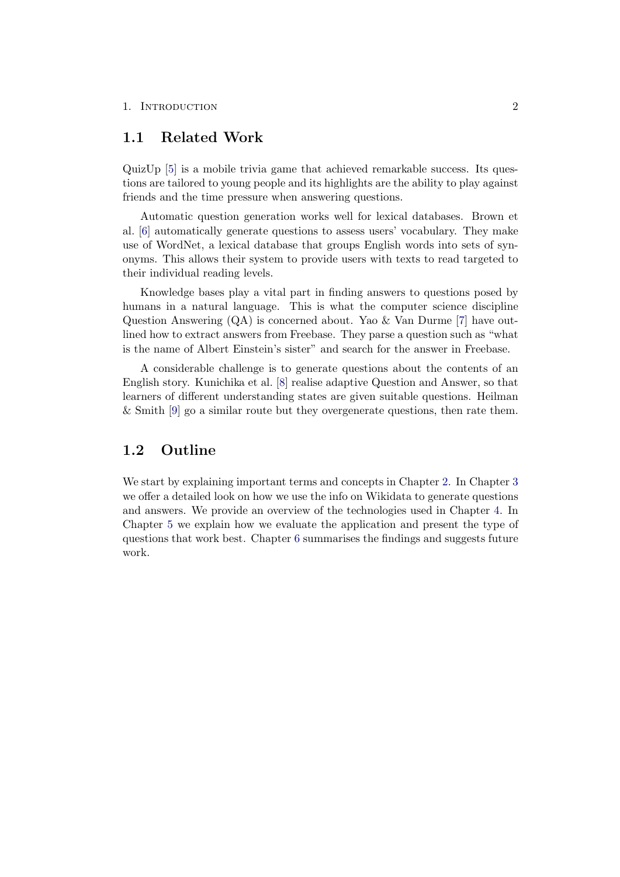### <span id="page-6-0"></span>1.1 Related Work

QuizUp [\[5\]](#page-23-5) is a mobile trivia game that achieved remarkable success. Its questions are tailored to young people and its highlights are the ability to play against friends and the time pressure when answering questions.

Automatic question generation works well for lexical databases. Brown et al. [\[6\]](#page-23-6) automatically generate questions to assess users' vocabulary. They make use of WordNet, a lexical database that groups English words into sets of synonyms. This allows their system to provide users with texts to read targeted to their individual reading levels.

Knowledge bases play a vital part in finding answers to questions posed by humans in a natural language. This is what the computer science discipline Question Answering (QA) is concerned about. Yao & Van Durme [\[7\]](#page-23-7) have outlined how to extract answers from Freebase. They parse a question such as "what is the name of Albert Einstein's sister" and search for the answer in Freebase.

A considerable challenge is to generate questions about the contents of an English story. Kunichika et al. [\[8\]](#page-23-8) realise adaptive Question and Answer, so that learners of different understanding states are given suitable questions. Heilman & Smith [\[9\]](#page-23-9) go a similar route but they overgenerate questions, then rate them.

# <span id="page-6-1"></span>1.2 Outline

We start by explaining important terms and concepts in Chapter [2.](#page-7-0) In Chapter [3](#page-9-0) we offer a detailed look on how we use the info on Wikidata to generate questions and answers. We provide an overview of the technologies used in Chapter [4.](#page-16-0) In Chapter [5](#page-18-0) we explain how we evaluate the application and present the type of questions that work best. Chapter [6](#page-22-0) summarises the findings and suggests future work.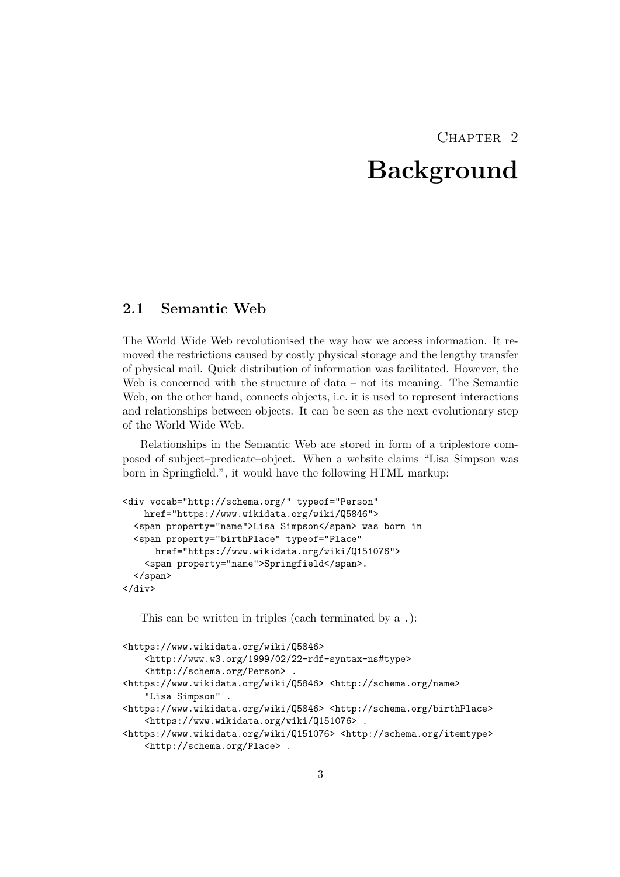# $CHAPTER$  2 Background

# <span id="page-7-1"></span><span id="page-7-0"></span>2.1 Semantic Web

The World Wide Web revolutionised the way how we access information. It removed the restrictions caused by costly physical storage and the lengthy transfer of physical mail. Quick distribution of information was facilitated. However, the Web is concerned with the structure of data – not its meaning. The Semantic Web, on the other hand, connects objects, i.e. it is used to represent interactions and relationships between objects. It can be seen as the next evolutionary step of the World Wide Web.

Relationships in the Semantic Web are stored in form of a triplestore composed of subject–predicate–object. When a website claims "Lisa Simpson was born in Springfield.", it would have the following HTML markup:

```
<div vocab="http://schema.org/" typeof="Person"
   href="https://www.wikidata.org/wiki/Q5846">
  <span property="name">Lisa Simpson</span> was born in
  <span property="birthPlace" typeof="Place"
     href="https://www.wikidata.org/wiki/Q151076">
    <span property="name">Springfield</span>.
  </span>
</div>
```
This can be written in triples (each terminated by a .):

```
<https://www.wikidata.org/wiki/Q5846>
   <http://www.w3.org/1999/02/22-rdf-syntax-ns#type>
    <http://schema.org/Person> .
<https://www.wikidata.org/wiki/Q5846> <http://schema.org/name>
    "Lisa Simpson" .
<https://www.wikidata.org/wiki/Q5846> <http://schema.org/birthPlace>
   <https://www.wikidata.org/wiki/Q151076> .
<https://www.wikidata.org/wiki/Q151076> <http://schema.org/itemtype>
   <http://schema.org/Place> .
```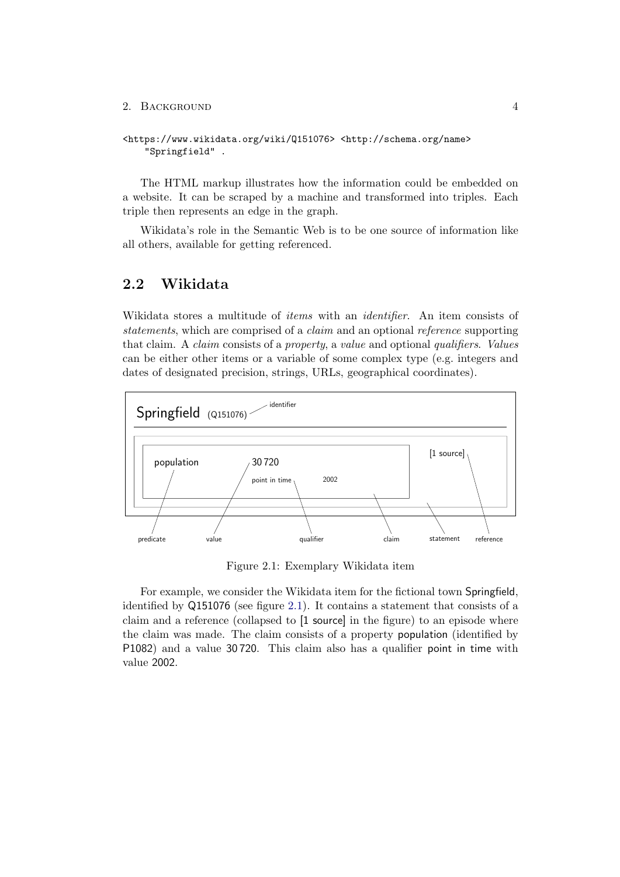#### 2. BACKGROUND 4

```
<https://www.wikidata.org/wiki/Q151076> <http://schema.org/name>
    "Springfield" .
```
The HTML markup illustrates how the information could be embedded on a website. It can be scraped by a machine and transformed into triples. Each triple then represents an edge in the graph.

Wikidata's role in the Semantic Web is to be one source of information like all others, available for getting referenced.

### <span id="page-8-0"></span>2.2 Wikidata

Wikidata stores a multitude of *items* with an *identifier*. An item consists of statements, which are comprised of a claim and an optional reference supporting that claim. A claim consists of a property, a value and optional qualifiers. Values can be either other items or a variable of some complex type (e.g. integers and dates of designated precision, strings, URLs, geographical coordinates).



<span id="page-8-1"></span>Figure 2.1: Exemplary Wikidata item

For example, we consider the Wikidata item for the fictional town Springfield, identified by Q151076 (see figure [2.1\)](#page-8-1). It contains a statement that consists of a claim and a reference (collapsed to [1 source] in the figure) to an episode where the claim was made. The claim consists of a property population (identified by P1082) and a value 30 720. This claim also has a qualifier point in time with value 2002.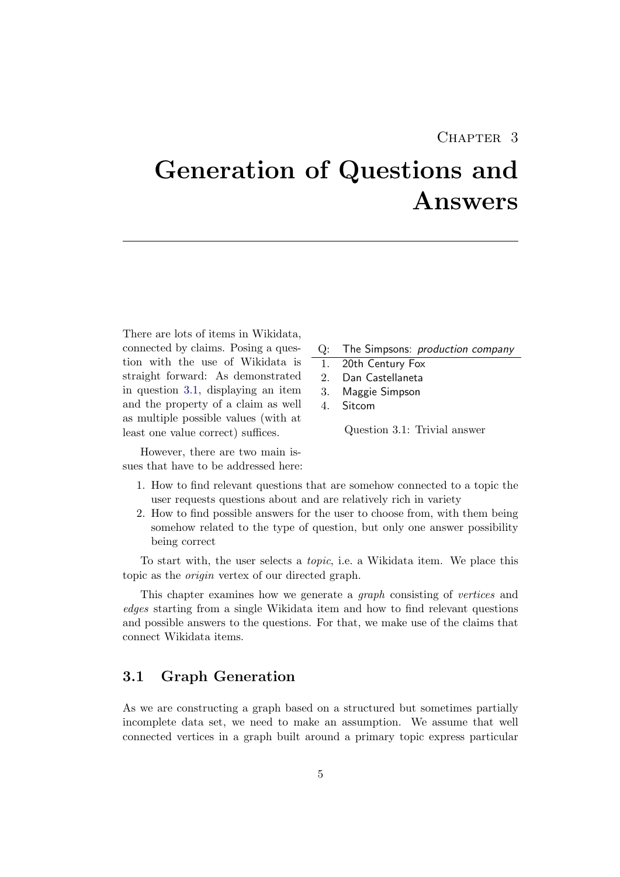# CHAPTER<sub>3</sub>

# <span id="page-9-0"></span>Generation of Questions and Answers

There are lots of items in Wikidata, connected by claims. Posing a question with the use of Wikidata is straight forward: As demonstrated in question [3.1,](#page-9-2) displaying an item and the property of a claim as well as multiple possible values (with at least one value correct) suffices.

However, there are two main issues that have to be addressed here:

- Q: The Simpsons: production company
- 1. 20th Century Fox
- 2. Dan Castellaneta
- 3. Maggie Simpson
- 4. Sitcom

<span id="page-9-2"></span>Question 3.1: Trivial answer

- 1. How to find relevant questions that are somehow connected to a topic the user requests questions about and are relatively rich in variety
- 2. How to find possible answers for the user to choose from, with them being somehow related to the type of question, but only one answer possibility being correct

To start with, the user selects a topic, i.e. a Wikidata item. We place this topic as the origin vertex of our directed graph.

This chapter examines how we generate a graph consisting of vertices and edges starting from a single Wikidata item and how to find relevant questions and possible answers to the questions. For that, we make use of the claims that connect Wikidata items.

## <span id="page-9-1"></span>3.1 Graph Generation

As we are constructing a graph based on a structured but sometimes partially incomplete data set, we need to make an assumption. We assume that well connected vertices in a graph built around a primary topic express particular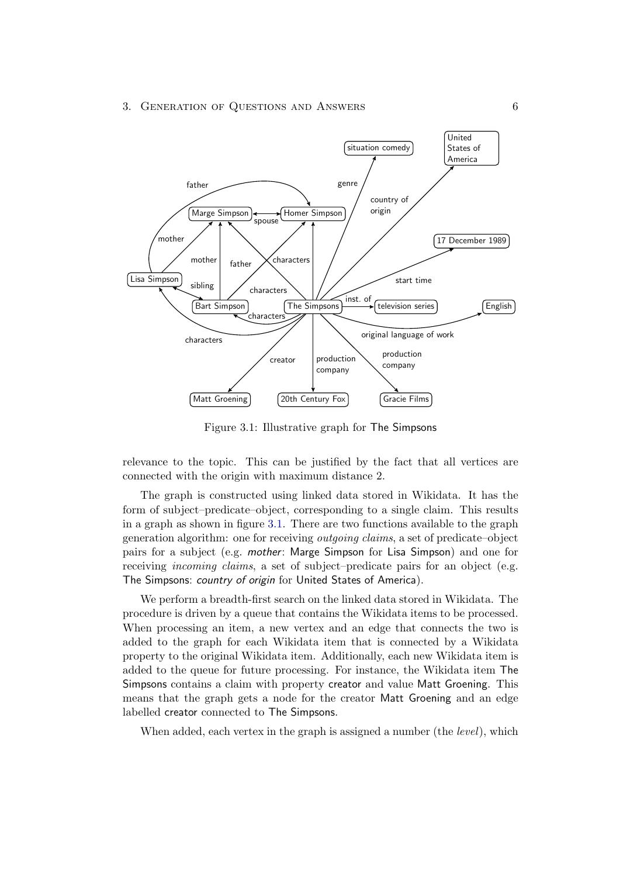#### 3. GENERATION OF QUESTIONS AND ANSWERS 6



<span id="page-10-0"></span>Figure 3.1: Illustrative graph for The Simpsons

relevance to the topic. This can be justified by the fact that all vertices are connected with the origin with maximum distance 2.

The graph is constructed using linked data stored in Wikidata. It has the form of subject–predicate–object, corresponding to a single claim. This results in a graph as shown in figure [3.1.](#page-10-0) There are two functions available to the graph generation algorithm: one for receiving outgoing claims, a set of predicate–object pairs for a subject (e.g. mother: Marge Simpson for Lisa Simpson) and one for receiving incoming claims, a set of subject–predicate pairs for an object (e.g. The Simpsons: country of origin for United States of America).

We perform a breadth-first search on the linked data stored in Wikidata. The procedure is driven by a queue that contains the Wikidata items to be processed. When processing an item, a new vertex and an edge that connects the two is added to the graph for each Wikidata item that is connected by a Wikidata property to the original Wikidata item. Additionally, each new Wikidata item is added to the queue for future processing. For instance, the Wikidata item The Simpsons contains a claim with property creator and value Matt Groening. This means that the graph gets a node for the creator Matt Groening and an edge labelled creator connected to The Simpsons.

When added, each vertex in the graph is assigned a number (the *level*), which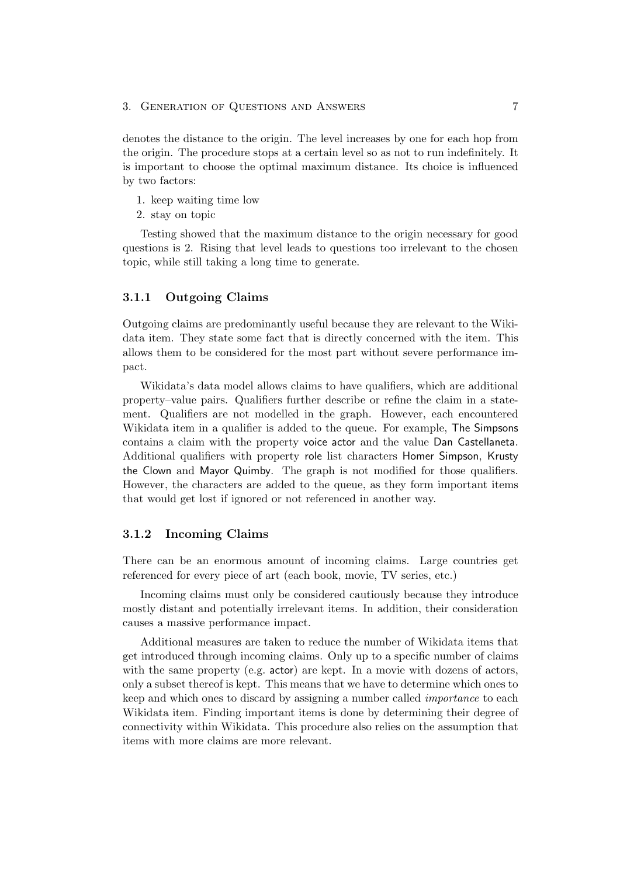#### 3. GENERATION OF QUESTIONS AND ANSWERS 7

denotes the distance to the origin. The level increases by one for each hop from the origin. The procedure stops at a certain level so as not to run indefinitely. It is important to choose the optimal maximum distance. Its choice is influenced by two factors:

- 1. keep waiting time low
- 2. stay on topic

Testing showed that the maximum distance to the origin necessary for good questions is 2. Rising that level leads to questions too irrelevant to the chosen topic, while still taking a long time to generate.

#### <span id="page-11-0"></span>3.1.1 Outgoing Claims

Outgoing claims are predominantly useful because they are relevant to the Wikidata item. They state some fact that is directly concerned with the item. This allows them to be considered for the most part without severe performance impact.

Wikidata's data model allows claims to have qualifiers, which are additional property–value pairs. Qualifiers further describe or refine the claim in a statement. Qualifiers are not modelled in the graph. However, each encountered Wikidata item in a qualifier is added to the queue. For example, The Simpsons contains a claim with the property voice actor and the value Dan Castellaneta. Additional qualifiers with property role list characters Homer Simpson, Krusty the Clown and Mayor Quimby. The graph is not modified for those qualifiers. However, the characters are added to the queue, as they form important items that would get lost if ignored or not referenced in another way.

#### <span id="page-11-1"></span>3.1.2 Incoming Claims

There can be an enormous amount of incoming claims. Large countries get referenced for every piece of art (each book, movie, TV series, etc.)

Incoming claims must only be considered cautiously because they introduce mostly distant and potentially irrelevant items. In addition, their consideration causes a massive performance impact.

Additional measures are taken to reduce the number of Wikidata items that get introduced through incoming claims. Only up to a specific number of claims with the same property (e.g.  $actor$ ) are kept. In a movie with dozens of actors, only a subset thereof is kept. This means that we have to determine which ones to keep and which ones to discard by assigning a number called importance to each Wikidata item. Finding important items is done by determining their degree of connectivity within Wikidata. This procedure also relies on the assumption that items with more claims are more relevant.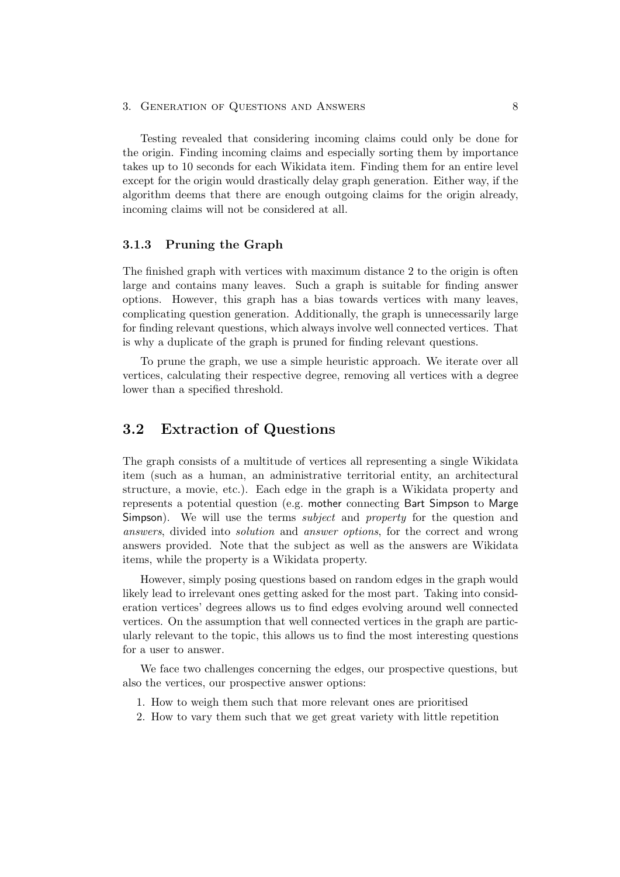#### 3. GENERATION OF QUESTIONS AND ANSWERS 8

Testing revealed that considering incoming claims could only be done for the origin. Finding incoming claims and especially sorting them by importance takes up to 10 seconds for each Wikidata item. Finding them for an entire level except for the origin would drastically delay graph generation. Either way, if the algorithm deems that there are enough outgoing claims for the origin already, incoming claims will not be considered at all.

#### <span id="page-12-0"></span>3.1.3 Pruning the Graph

The finished graph with vertices with maximum distance 2 to the origin is often large and contains many leaves. Such a graph is suitable for finding answer options. However, this graph has a bias towards vertices with many leaves, complicating question generation. Additionally, the graph is unnecessarily large for finding relevant questions, which always involve well connected vertices. That is why a duplicate of the graph is pruned for finding relevant questions.

To prune the graph, we use a simple heuristic approach. We iterate over all vertices, calculating their respective degree, removing all vertices with a degree lower than a specified threshold.

## <span id="page-12-1"></span>3.2 Extraction of Questions

The graph consists of a multitude of vertices all representing a single Wikidata item (such as a human, an administrative territorial entity, an architectural structure, a movie, etc.). Each edge in the graph is a Wikidata property and represents a potential question (e.g. mother connecting Bart Simpson to Marge Simpson). We will use the terms *subject* and *property* for the question and answers, divided into solution and answer options, for the correct and wrong answers provided. Note that the subject as well as the answers are Wikidata items, while the property is a Wikidata property.

However, simply posing questions based on random edges in the graph would likely lead to irrelevant ones getting asked for the most part. Taking into consideration vertices' degrees allows us to find edges evolving around well connected vertices. On the assumption that well connected vertices in the graph are particularly relevant to the topic, this allows us to find the most interesting questions for a user to answer.

We face two challenges concerning the edges, our prospective questions, but also the vertices, our prospective answer options:

- 1. How to weigh them such that more relevant ones are prioritised
- 2. How to vary them such that we get great variety with little repetition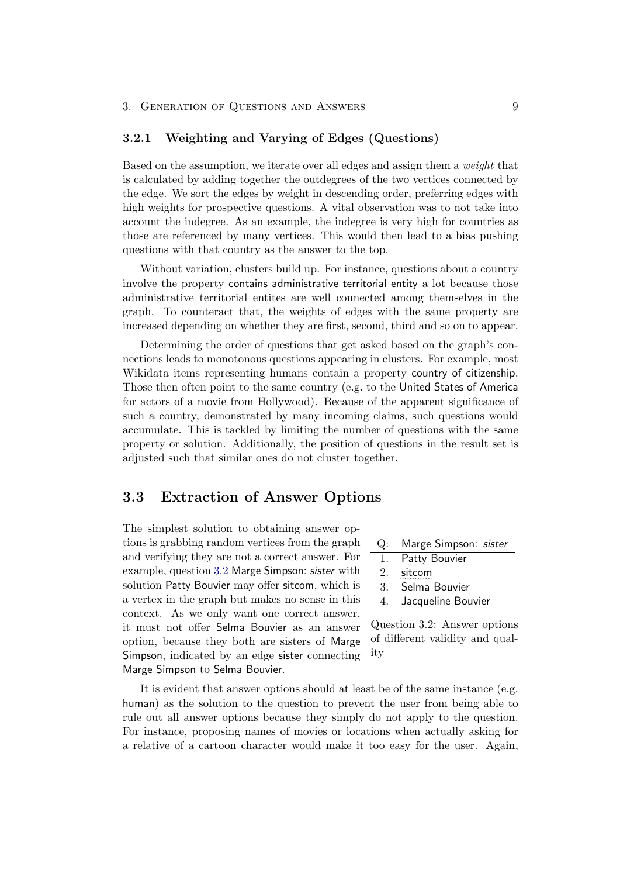#### <span id="page-13-0"></span>3.2.1 Weighting and Varying of Edges (Questions)

Based on the assumption, we iterate over all edges and assign them a weight that is calculated by adding together the outdegrees of the two vertices connected by the edge. We sort the edges by weight in descending order, preferring edges with high weights for prospective questions. A vital observation was to not take into account the indegree. As an example, the indegree is very high for countries as those are referenced by many vertices. This would then lead to a bias pushing questions with that country as the answer to the top.

Without variation, clusters build up. For instance, questions about a country involve the property contains administrative territorial entity a lot because those administrative territorial entites are well connected among themselves in the graph. To counteract that, the weights of edges with the same property are increased depending on whether they are first, second, third and so on to appear.

Determining the order of questions that get asked based on the graph's connections leads to monotonous questions appearing in clusters. For example, most Wikidata items representing humans contain a property country of citizenship. Those then often point to the same country (e.g. to the United States of America for actors of a movie from Hollywood). Because of the apparent significance of such a country, demonstrated by many incoming claims, such questions would accumulate. This is tackled by limiting the number of questions with the same property or solution. Additionally, the position of questions in the result set is adjusted such that similar ones do not cluster together.

## <span id="page-13-1"></span>3.3 Extraction of Answer Options

The simplest solution to obtaining answer options is grabbing random vertices from the graph and verifying they are not a correct answer. For example, question [3.2](#page-13-2) Marge Simpson: sister with solution Patty Bouvier may offer sitcom, which is a vertex in the graph but makes no sense in this context. As we only want one correct answer, it must not offer Selma Bouvier as an answer option, because they both are sisters of Marge Simpson, indicated by an edge sister connecting Marge Simpson to Selma Bouvier.

- Q: Marge Simpson: sister
- 1. Patty Bouvier
- $2.$  sitcom
- 3. Selma Bouvier
- <span id="page-13-2"></span>4. Jacqueline Bouvier

Question 3.2: Answer options of different validity and quality

It is evident that answer options should at least be of the same instance (e.g. human) as the solution to the question to prevent the user from being able to rule out all answer options because they simply do not apply to the question. For instance, proposing names of movies or locations when actually asking for a relative of a cartoon character would make it too easy for the user. Again,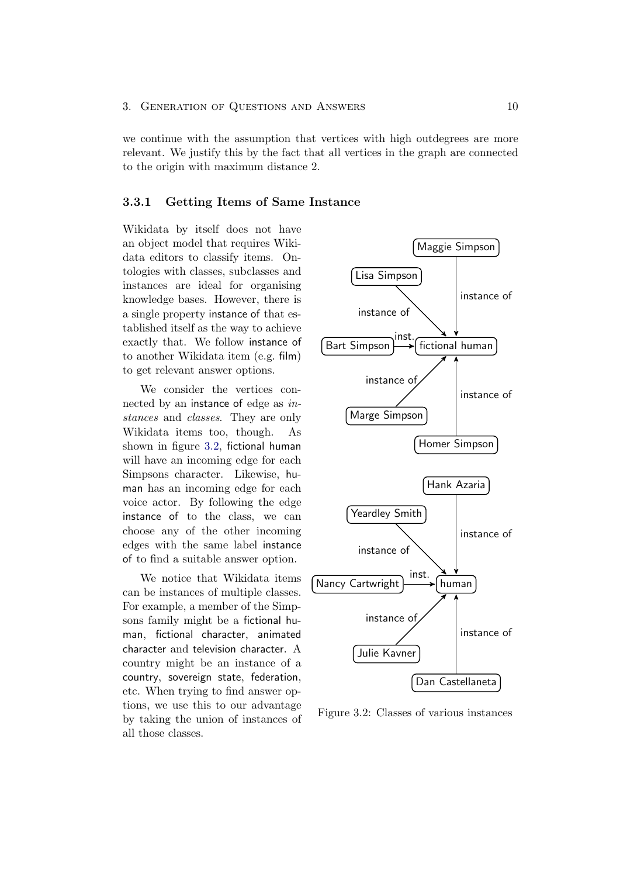we continue with the assumption that vertices with high outdegrees are more relevant. We justify this by the fact that all vertices in the graph are connected to the origin with maximum distance 2.

#### <span id="page-14-0"></span>3.3.1 Getting Items of Same Instance

Wikidata by itself does not have an object model that requires Wikidata editors to classify items. Ontologies with classes, subclasses and instances are ideal for organising knowledge bases. However, there is a single property instance of that established itself as the way to achieve exactly that. We follow instance of to another Wikidata item (e.g. film) to get relevant answer options.

We consider the vertices connected by an instance of edge as instances and classes. They are only Wikidata items too, though. As shown in figure [3.2,](#page-14-1) fictional human will have an incoming edge for each Simpsons character. Likewise, human has an incoming edge for each voice actor. By following the edge instance of to the class, we can choose any of the other incoming edges with the same label instance of to find a suitable answer option.

We notice that Wikidata items can be instances of multiple classes. For example, a member of the Simpsons family might be a fictional human, fictional character, animated character and television character. A country might be an instance of a country, sovereign state, federation, etc. When trying to find answer options, we use this to our advantage by taking the union of instances of all those classes.



<span id="page-14-1"></span>Figure 3.2: Classes of various instances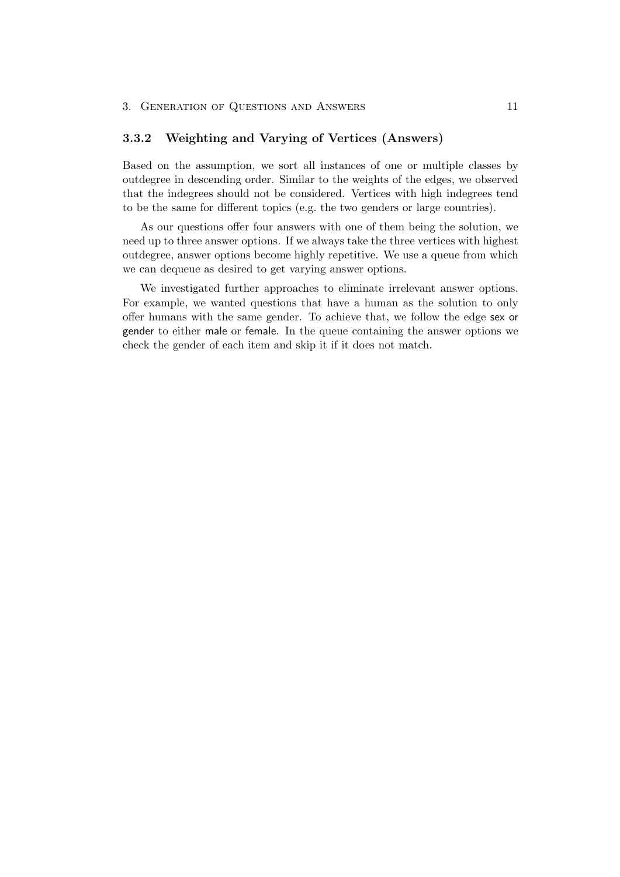#### <span id="page-15-0"></span>3.3.2 Weighting and Varying of Vertices (Answers)

Based on the assumption, we sort all instances of one or multiple classes by outdegree in descending order. Similar to the weights of the edges, we observed that the indegrees should not be considered. Vertices with high indegrees tend to be the same for different topics (e.g. the two genders or large countries).

As our questions offer four answers with one of them being the solution, we need up to three answer options. If we always take the three vertices with highest outdegree, answer options become highly repetitive. We use a queue from which we can dequeue as desired to get varying answer options.

We investigated further approaches to eliminate irrelevant answer options. For example, we wanted questions that have a human as the solution to only offer humans with the same gender. To achieve that, we follow the edge sex or gender to either male or female. In the queue containing the answer options we check the gender of each item and skip it if it does not match.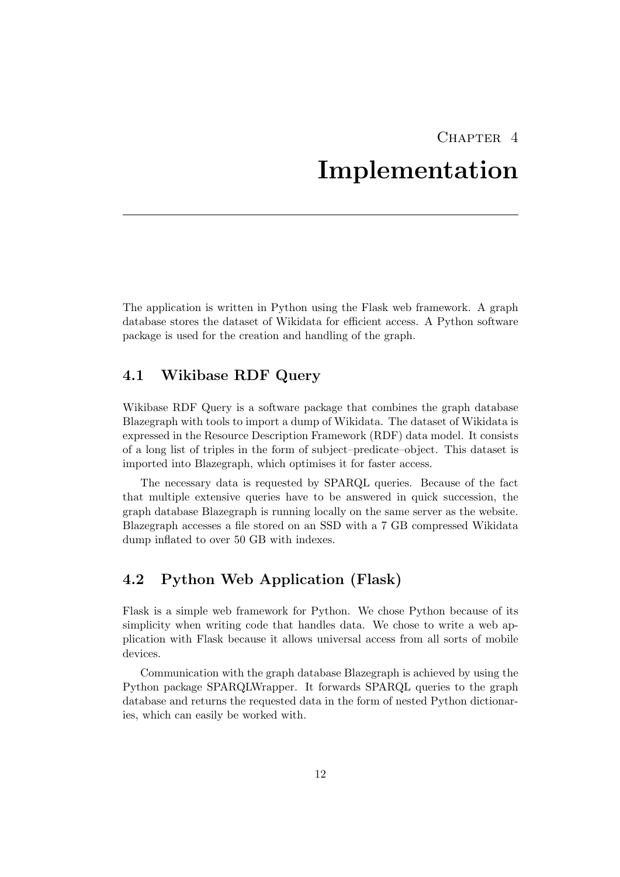# CHAPTER<sub>4</sub>

# Implementation

<span id="page-16-0"></span>The application is written in Python using the Flask web framework. A graph database stores the dataset of Wikidata for efficient access. A Python software package is used for the creation and handling of the graph.

## <span id="page-16-1"></span>4.1 Wikibase RDF Query

Wikibase RDF Query is a software package that combines the graph database Blazegraph with tools to import a dump of Wikidata. The dataset of Wikidata is expressed in the Resource Description Framework (RDF) data model. It consists of a long list of triples in the form of subject–predicate–object. This dataset is imported into Blazegraph, which optimises it for faster access.

The necessary data is requested by SPARQL queries. Because of the fact that multiple extensive queries have to be answered in quick succession, the graph database Blazegraph is running locally on the same server as the website. Blazegraph accesses a file stored on an SSD with a 7 GB compressed Wikidata dump inflated to over 50 GB with indexes.

# <span id="page-16-2"></span>4.2 Python Web Application (Flask)

Flask is a simple web framework for Python. We chose Python because of its simplicity when writing code that handles data. We chose to write a web application with Flask because it allows universal access from all sorts of mobile devices.

Communication with the graph database Blazegraph is achieved by using the Python package SPARQLWrapper. It forwards SPARQL queries to the graph database and returns the requested data in the form of nested Python dictionaries, which can easily be worked with.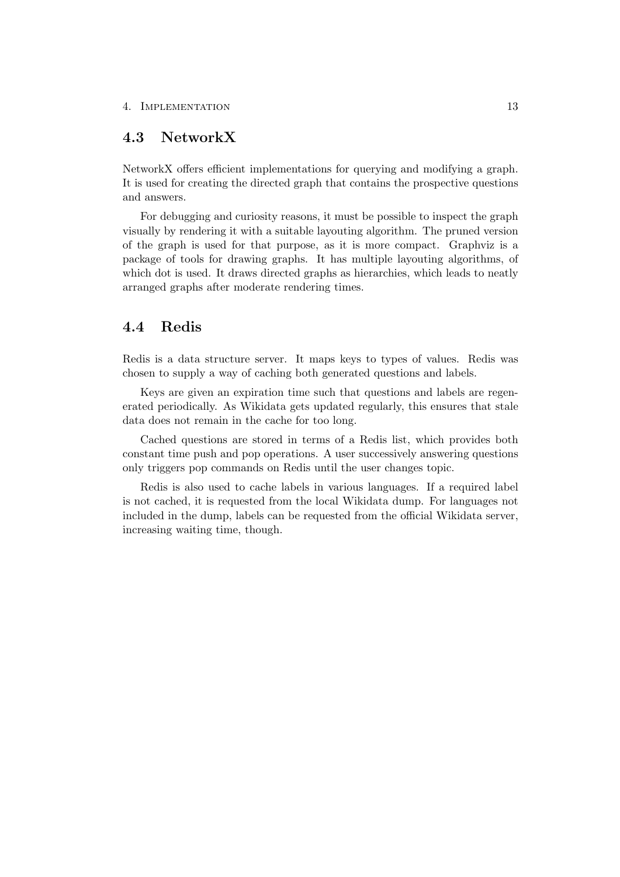## <span id="page-17-0"></span>4.3 NetworkX

NetworkX offers efficient implementations for querying and modifying a graph. It is used for creating the directed graph that contains the prospective questions and answers.

For debugging and curiosity reasons, it must be possible to inspect the graph visually by rendering it with a suitable layouting algorithm. The pruned version of the graph is used for that purpose, as it is more compact. Graphviz is a package of tools for drawing graphs. It has multiple layouting algorithms, of which dot is used. It draws directed graphs as hierarchies, which leads to neatly arranged graphs after moderate rendering times.

### <span id="page-17-1"></span>4.4 Redis

Redis is a data structure server. It maps keys to types of values. Redis was chosen to supply a way of caching both generated questions and labels.

Keys are given an expiration time such that questions and labels are regenerated periodically. As Wikidata gets updated regularly, this ensures that stale data does not remain in the cache for too long.

Cached questions are stored in terms of a Redis list, which provides both constant time push and pop operations. A user successively answering questions only triggers pop commands on Redis until the user changes topic.

Redis is also used to cache labels in various languages. If a required label is not cached, it is requested from the local Wikidata dump. For languages not included in the dump, labels can be requested from the official Wikidata server, increasing waiting time, though.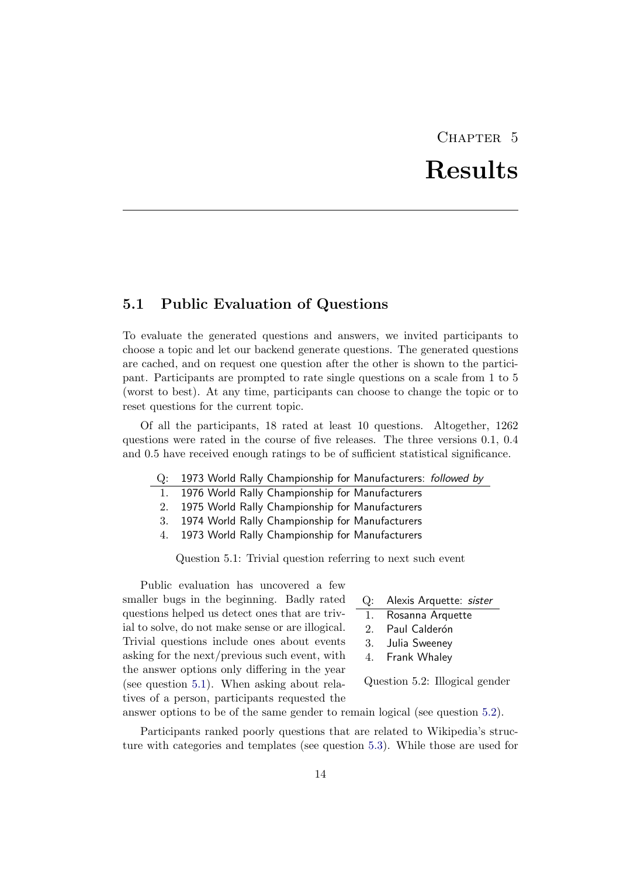# CHAPTER 5 Results

## <span id="page-18-1"></span><span id="page-18-0"></span>5.1 Public Evaluation of Questions

To evaluate the generated questions and answers, we invited participants to choose a topic and let our backend generate questions. The generated questions are cached, and on request one question after the other is shown to the participant. Participants are prompted to rate single questions on a scale from 1 to 5 (worst to best). At any time, participants can choose to change the topic or to reset questions for the current topic.

Of all the participants, 18 rated at least 10 questions. Altogether, 1262 questions were rated in the course of five releases. The three versions 0.1, 0.4 and 0.5 have received enough ratings to be of sufficient statistical significance.

- Q: 1973 World Rally Championship for Manufacturers: followed by
	- 1. 1976 World Rally Championship for Manufacturers
	- 2. 1975 World Rally Championship for Manufacturers
	- 3. 1974 World Rally Championship for Manufacturers
	- 4. 1973 World Rally Championship for Manufacturers

<span id="page-18-2"></span>Question 5.1: Trivial question referring to next such event

Public evaluation has uncovered a few smaller bugs in the beginning. Badly rated questions helped us detect ones that are trivial to solve, do not make sense or are illogical. Trivial questions include ones about events asking for the next/previous such event, with the answer options only differing in the year (see question [5.1\)](#page-18-2). When asking about relatives of a person, participants requested the

| Q: | Alexis Arquette: sister |  |
|----|-------------------------|--|
|    |                         |  |

- 1. Rosanna Arquette
- 2. Paul Calderón
- 3. Julia Sweeney
- 4. Frank Whaley

<span id="page-18-3"></span>Question 5.2: Illogical gender

answer options to be of the same gender to remain logical (see question [5.2\)](#page-18-3).

Participants ranked poorly questions that are related to Wikipedia's structure with categories and templates (see question [5.3\)](#page-19-0). While those are used for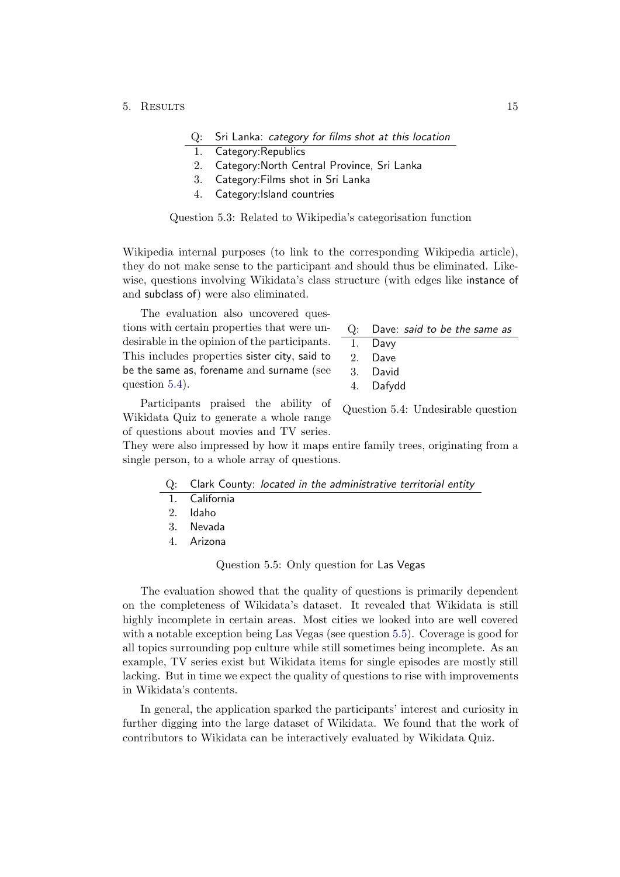#### 5. Results 15

#### Q: Sri Lanka: category for films shot at this location

- Category: Republics
- 2. Category:North Central Province, Sri Lanka
- 3. Category:Films shot in Sri Lanka
- <span id="page-19-0"></span>4. Category:Island countries

Question 5.3: Related to Wikipedia's categorisation function

Wikipedia internal purposes (to link to the corresponding Wikipedia article), they do not make sense to the participant and should thus be eliminated. Likewise, questions involving Wikidata's class structure (with edges like instance of and subclass of) were also eliminated.

The evaluation also uncovered questions with certain properties that were undesirable in the opinion of the participants. This includes properties sister city, said to be the same as, forename and surname (see question [5.4\)](#page-19-1).

| $Q:$ Dave: said to be the same as |  |  |  |  |  |  |
|-----------------------------------|--|--|--|--|--|--|
|-----------------------------------|--|--|--|--|--|--|

- 1. Davy
- 2. Dave
- 3. David
- <span id="page-19-1"></span>4. Dafydd

Participants praised the ability of Wikidata Quiz to generate a whole range of questions about movies and TV series.

Question 5.4: Undesirable question

They were also impressed by how it maps entire family trees, originating from a single person, to a whole array of questions.

|  |  |  |  |  |  | Q: Clark County: located in the administrative territorial entity |  |  |
|--|--|--|--|--|--|-------------------------------------------------------------------|--|--|
|--|--|--|--|--|--|-------------------------------------------------------------------|--|--|

- 1. California
- 2. Idaho
- 3. Nevada
- 4. Arizona

#### <span id="page-19-2"></span>Question 5.5: Only question for Las Vegas

The evaluation showed that the quality of questions is primarily dependent on the completeness of Wikidata's dataset. It revealed that Wikidata is still highly incomplete in certain areas. Most cities we looked into are well covered with a notable exception being Las Vegas (see question [5.5\)](#page-19-2). Coverage is good for all topics surrounding pop culture while still sometimes being incomplete. As an example, TV series exist but Wikidata items for single episodes are mostly still lacking. But in time we expect the quality of questions to rise with improvements in Wikidata's contents.

In general, the application sparked the participants' interest and curiosity in further digging into the large dataset of Wikidata. We found that the work of contributors to Wikidata can be interactively evaluated by Wikidata Quiz.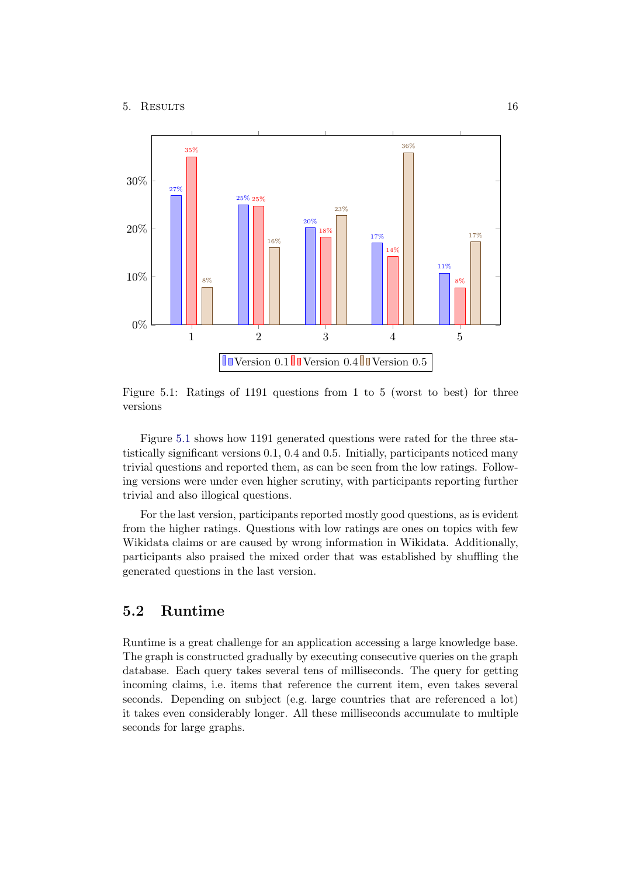

<span id="page-20-1"></span>Figure 5.1: Ratings of 1191 questions from 1 to 5 (worst to best) for three versions

Figure [5.1](#page-20-1) shows how 1191 generated questions were rated for the three statistically significant versions 0.1, 0.4 and 0.5. Initially, participants noticed many trivial questions and reported them, as can be seen from the low ratings. Following versions were under even higher scrutiny, with participants reporting further trivial and also illogical questions.

For the last version, participants reported mostly good questions, as is evident from the higher ratings. Questions with low ratings are ones on topics with few Wikidata claims or are caused by wrong information in Wikidata. Additionally, participants also praised the mixed order that was established by shuffling the generated questions in the last version.

## <span id="page-20-0"></span>5.2 Runtime

Runtime is a great challenge for an application accessing a large knowledge base. The graph is constructed gradually by executing consecutive queries on the graph database. Each query takes several tens of milliseconds. The query for getting incoming claims, i.e. items that reference the current item, even takes several seconds. Depending on subject (e.g. large countries that are referenced a lot) it takes even considerably longer. All these milliseconds accumulate to multiple seconds for large graphs.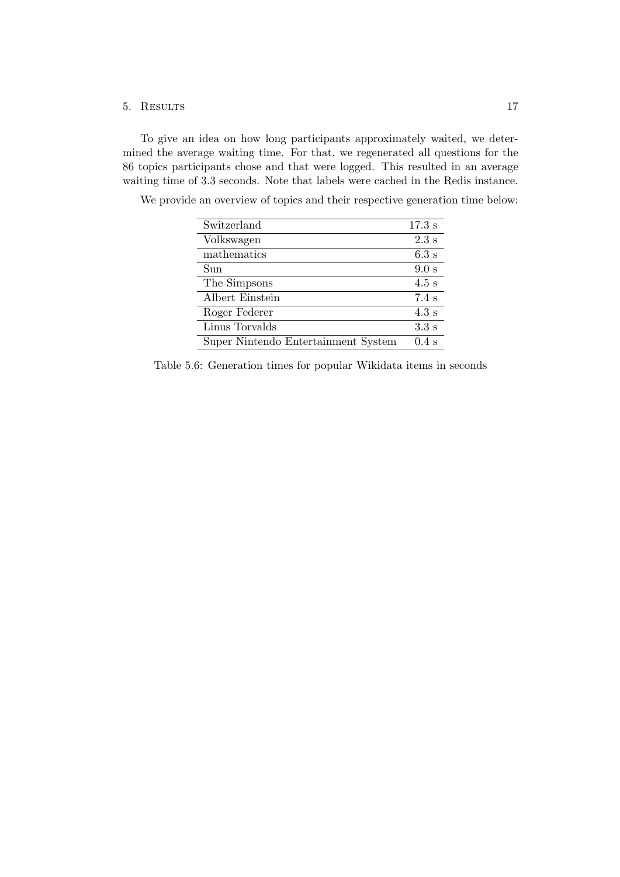#### 5. Results 17

To give an idea on how long participants approximately waited, we determined the average waiting time. For that, we regenerated all questions for the 86 topics participants chose and that were logged. This resulted in an average waiting time of 3.3 seconds. Note that labels were cached in the Redis instance.

| Switzerland                         | 17.3 s           |
|-------------------------------------|------------------|
| Volkswagen                          | $2.3$ s          |
| mathematics                         | 6.3 s            |
| Sun                                 | 9.0 s            |
| The Simpsons                        | $4.5$ s          |
| Albert Einstein                     | $7.4~\mathrm{s}$ |
| Roger Federer                       | 4.3 s            |
| Linus Torvalds                      | 3.3s             |
| Super Nintendo Entertainment System | $0.4$ s          |

We provide an overview of topics and their respective generation time below:

Table 5.6: Generation times for popular Wikidata items in seconds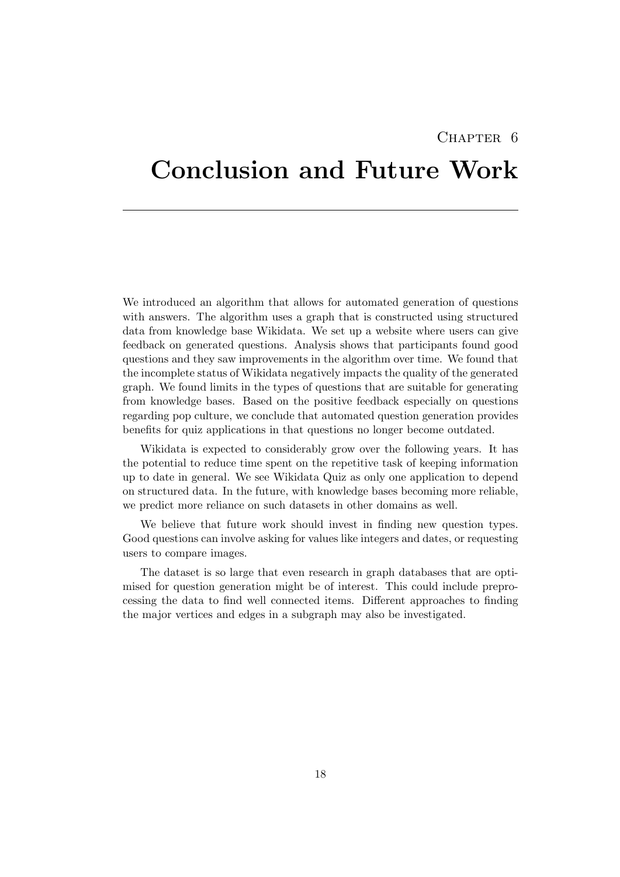## CHAPTER 6

# <span id="page-22-0"></span>Conclusion and Future Work

We introduced an algorithm that allows for automated generation of questions with answers. The algorithm uses a graph that is constructed using structured data from knowledge base Wikidata. We set up a website where users can give feedback on generated questions. Analysis shows that participants found good questions and they saw improvements in the algorithm over time. We found that the incomplete status of Wikidata negatively impacts the quality of the generated graph. We found limits in the types of questions that are suitable for generating from knowledge bases. Based on the positive feedback especially on questions regarding pop culture, we conclude that automated question generation provides benefits for quiz applications in that questions no longer become outdated.

Wikidata is expected to considerably grow over the following years. It has the potential to reduce time spent on the repetitive task of keeping information up to date in general. We see Wikidata Quiz as only one application to depend on structured data. In the future, with knowledge bases becoming more reliable, we predict more reliance on such datasets in other domains as well.

We believe that future work should invest in finding new question types. Good questions can involve asking for values like integers and dates, or requesting users to compare images.

The dataset is so large that even research in graph databases that are optimised for question generation might be of interest. This could include preprocessing the data to find well connected items. Different approaches to finding the major vertices and edges in a subgraph may also be investigated.